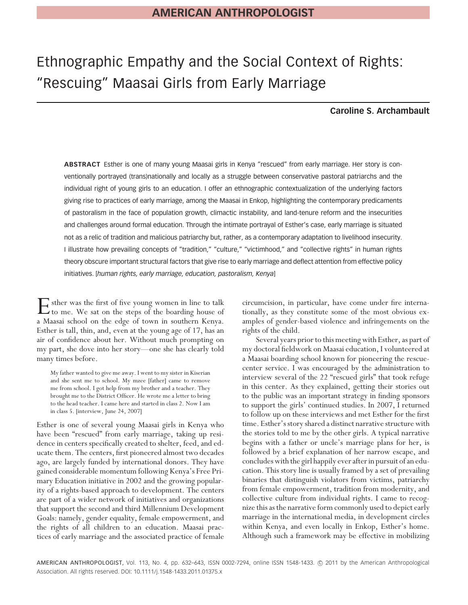## **AMERICAN ANTHROPOLOGIST**

# Ethnographic Empathy and the Social Context of Rights: "Rescuing" Maasai Girls from Early Marriage

## **Caroline S. Archambault**

**ABSTRACT** Esther is one of many young Maasai girls in Kenya "rescued" from early marriage. Her story is conventionally portrayed (trans)nationally and locally as a struggle between conservative pastoral patriarchs and the individual right of young girls to an education. I offer an ethnographic contextualization of the underlying factors giving rise to practices of early marriage, among the Maasai in Enkop, highlighting the contemporary predicaments of pastoralism in the face of population growth, climactic instability, and land-tenure reform and the insecurities and challenges around formal education. Through the intimate portrayal of Esther's case, early marriage is situated not as a relic of tradition and malicious patriarchy but, rather, as a contemporary adaptation to livelihood insecurity. I illustrate how prevailing concepts of "tradition," "culture," "victimhood," and "collective rights" in human rights theory obscure important structural factors that give rise to early marriage and deflect attention from effective policy initiatives. [*human rights, early marriage, education, pastoralism, Kenya*]

Esther was the first of five young women in line to talk<br>to me. We sat on the steps of the boarding house of<br>a Maasai school on the edge of town in southern Kenya a Maasai school on the edge of town in southern Kenya. Esther is tall, thin, and, even at the young age of 17, has an air of confidence about her. Without much prompting on my part, she dove into her story—one she has clearly told many times before.

My father wanted to give me away. I went to my sister in Kiserian and she sent me to school. My mzee [father] came to remove me from school. I got help from my brother and a teacher. They brought me to the District Officer. He wrote me a letter to bring to the head teacher. I came here and started in class 2. Now I am in class 5. [interview, June 24, 2007]

Esther is one of several young Maasai girls in Kenya who have been "rescued" from early marriage, taking up residence in centers specifically created to shelter, feed, and educate them. The centers, first pioneered almost two decades ago, are largely funded by international donors. They have gained considerable momentum following Kenya's Free Primary Education initiative in 2002 and the growing popularity of a rights-based approach to development. The centers are part of a wider network of initiatives and organizations that support the second and third Millennium Development Goals: namely, gender equality, female empowerment, and the rights of all children to an education. Maasai practices of early marriage and the associated practice of female circumcision, in particular, have come under fire internationally, as they constitute some of the most obvious examples of gender-based violence and infringements on the rights of the child.

Several years prior to this meeting with Esther, as part of my doctoral fieldwork on Maasai education, I volunteered at a Maasai boarding school known for pioneering the rescuecenter service. I was encouraged by the administration to interview several of the 22 "rescued girls" that took refuge in this center. As they explained, getting their stories out to the public was an important strategy in finding sponsors to support the girls' continued studies. In 2007, I returned to follow up on these interviews and met Esther for the first time. Esther's story shared a distinct narrative structure with the stories told to me by the other girls. A typical narrative begins with a father or uncle's marriage plans for her, is followed by a brief explanation of her narrow escape, and concludes with the girl happily ever after in pursuit of an education. This story line is usually framed by a set of prevailing binaries that distinguish violators from victims, patriarchy from female empowerment, tradition from modernity, and collective culture from individual rights. I came to recognize this as the narrative form commonly used to depict early marriage in the international media, in development circles within Kenya, and even locally in Enkop, Esther's home. Although such a framework may be effective in mobilizing

AMERICAN ANTHROPOLOGIST, Vol. 113, No. 4, pp. 632–643, ISSN 0002-7294, online ISSN 1548-1433. © 2011 by the American Anthropological Association. All rights reserved. DOI: 10.1111/j.1548-1433.2011.01375.x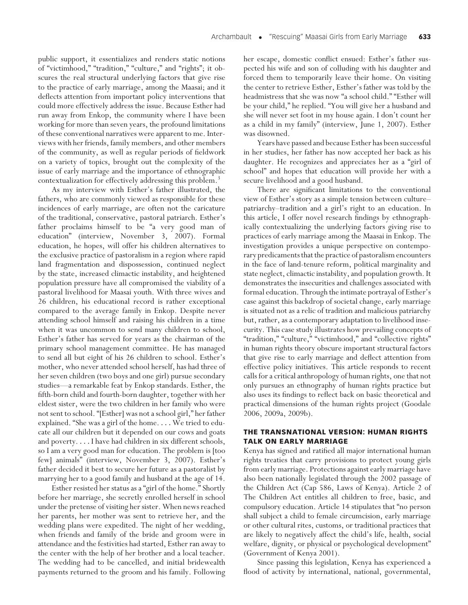public support, it essentializes and renders static notions of "victimhood," "tradition," "culture," and "rights"; it obscures the real structural underlying factors that give rise to the practice of early marriage, among the Maasai; and it deflects attention from important policy interventions that could more effectively address the issue. Because Esther had run away from Enkop, the community where I have been working for more than seven years, the profound limitations of these conventional narratives were apparent to me. Interviews with her friends, family members, and other members of the community, as well as regular periods of fieldwork on a variety of topics, brought out the complexity of the issue of early marriage and the importance of ethnographic contextualization for effectively addressing this problem.<sup>3</sup>

As my interview with Esther's father illustrated, the fathers, who are commonly viewed as responsible for these incidences of early marriage, are often not the caricature of the traditional, conservative, pastoral patriarch. Esther's father proclaims himself to be "a very good man of education" (interview, November 3, 2007). Formal education, he hopes, will offer his children alternatives to the exclusive practice of pastoralism in a region where rapid land fragmentation and dispossession, continued neglect by the state, increased climactic instability, and heightened population pressure have all compromised the viability of a pastoral livelihood for Maasai youth. With three wives and 26 children, his educational record is rather exceptional compared to the average family in Enkop. Despite never attending school himself and raising his children in a time when it was uncommon to send many children to school, Esther's father has served for years as the chairman of the primary school management committee. He has managed to send all but eight of his 26 children to school. Esther's mother, who never attended school herself, has had three of her seven children (two boys and one girl) pursue secondary studies—a remarkable feat by Enkop standards. Esther, the fifth-born child and fourth-born daughter, together with her eldest sister, were the two children in her family who were not sent to school. "[Esther] was not a school girl," her father explained. "She was a girl of the home. ... We tried to educate all our children but it depended on our cows and goats and poverty. ... I have had children in six different schools, so I am a very good man for education. The problem is [too few] animals" (interview, November 3, 2007). Esther's father decided it best to secure her future as a pastoralist by marrying her to a good family and husband at the age of 14.

Esther resisted her status as a "girl of the home." Shortly before her marriage, she secretly enrolled herself in school under the pretense of visiting her sister. When news reached her parents, her mother was sent to retrieve her, and the wedding plans were expedited. The night of her wedding, when friends and family of the bride and groom were in attendance and the festivities had started, Esther ran away to the center with the help of her brother and a local teacher. The wedding had to be cancelled, and initial bridewealth payments returned to the groom and his family. Following her escape, domestic conflict ensued: Esther's father suspected his wife and son of colluding with his daughter and forced them to temporarily leave their home. On visiting the center to retrieve Esther, Esther's father was told by the headmistress that she was now "a school child." "Esther will be your child," he replied. "You will give her a husband and she will never set foot in my house again. I don't count her as a child in my family" (interview, June 1, 2007). Esther was disowned.

Years have passed and because Esther has been successful in her studies, her father has now accepted her back as his daughter. He recognizes and appreciates her as a "girl of school" and hopes that education will provide her with a secure livelihood and a good husband.

There are significant limitations to the conventional view of Esther's story as a simple tension between culture– patriarchy–tradition and a girl's right to an education. In this article, I offer novel research findings by ethnographically contextualizing the underlying factors giving rise to practices of early marriage among the Maasai in Enkop. The investigation provides a unique perspective on contemporary predicaments that the practice of pastoralism encounters in the face of land-tenure reform, political marginality and state neglect, climactic instability, and population growth. It demonstrates the insecurities and challenges associated with formal education. Through the intimate portrayal of Esther's case against this backdrop of societal change, early marriage is situated not as a relic of tradition and malicious patriarchy but, rather, as a contemporary adaptation to livelihood insecurity. This case study illustrates how prevailing concepts of "tradition," "culture," "victimhood," and "collective rights" in human rights theory obscure important structural factors that give rise to early marriage and deflect attention from effective policy initiatives. This article responds to recent calls for a critical anthropology of human rights, one that not only pursues an ethnography of human rights practice but also uses its findings to reflect back on basic theoretical and practical dimensions of the human rights project (Goodale 2006, 2009a, 2009b).

## **THE TRANSNATIONAL VERSION: HUMAN RIGHTS TALK ON EARLY MARRIAGE**

Kenya has signed and ratified all major international human rights treaties that carry provisions to protect young girls from early marriage. Protections against early marriage have also been nationally legislated through the 2002 passage of the Children Act (Cap 586, Laws of Kenya). Article 2 of The Children Act entitles all children to free, basic, and compulsory education. Article 14 stipulates that "no person shall subject a child to female circumcision, early marriage or other cultural rites, customs, or traditional practices that are likely to negatively affect the child's life, health, social welfare, dignity, or physical or psychological development" (Government of Kenya 2001).

Since passing this legislation, Kenya has experienced a flood of activity by international, national, governmental,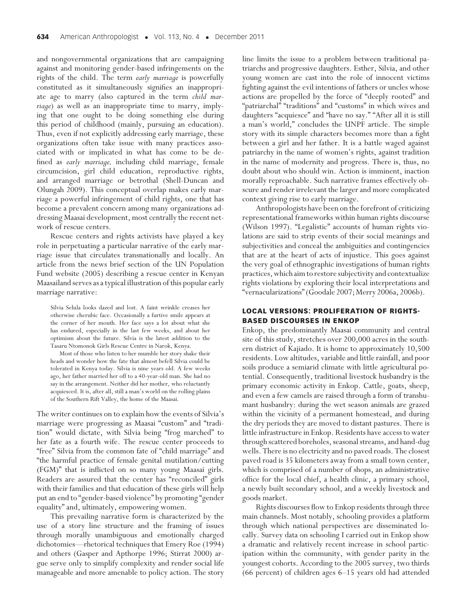and nongovernmental organizations that are campaigning against and monitoring gender-based infringements on the rights of the child. The term *early marriage* is powerfully constituted as it simultaneously signifies an inappropriate age to marry (also captured in the term *child marriage*) as well as an inappropriate time to marry, implying that one ought to be doing something else during this period of childhood (mainly, pursuing an education). Thus, even if not explicitly addressing early marriage, these organizations often take issue with many practices associated with or implicated in what has come to be defined as *early marriage,* including child marriage, female circumcision, girl child education, reproductive rights, and arranged marriage or betrothal (Shell-Duncan and Olungah 2009). This conceptual overlap makes early marriage a powerful infringement of child rights, one that has become a prevalent concern among many organizations addressing Maasai development, most centrally the recent network of rescue centers.

Rescue centers and rights activists have played a key role in perpetuating a particular narrative of the early marriage issue that circulates transnationally and locally. An article from the news brief section of the UN Population Fund website (2005) describing a rescue center in Kenyan Maasailand serves as a typical illustration of this popular early marriage narrative:

Silvia Selula looks dazed and lost. A faint wrinkle creases her otherwise cherubic face. Occasionally a furtive smile appears at the corner of her mouth. Her face says a lot about what she has endured, especially in the last few weeks, and about her optimism about the future. Silvia is the latest addition to the Tasaru Ntomonok Girls Rescue Centre in Narok, Kenya.

Most of those who listen to her mumble her story shake their heads and wonder how the fate that almost befell Silvia could be tolerated in Kenya today. Silvia is nine years old. A few weeks ago, her father married her off to a 40-year-old man. She had no say in the arrangement. Neither did her mother, who reluctantly acquiesced. It is, after all, still a man's world on the rolling plains of the Southern Rift Valley, the home of the Maasai.

The writer continues on to explain how the events of Silvia's marriage were progressing as Maasai "custom" and "tradition" would dictate, with Silvia being "frog marched" to her fate as a fourth wife. The rescue center proceeds to "free" Silvia from the common fate of "child marriage" and "the harmful practice of female genital mutilation/cutting (FGM)" that is inflicted on so many young Maasai girls. Readers are assured that the center has "reconciled" girls with their families and that education of these girls will help put an end to "gender-based violence" by promoting "gender equality" and, ultimately, empowering women.

This prevailing narrative form is characterized by the use of a story line structure and the framing of issues through morally unambiguous and emotionally charged dichotomies—rhetorical techniques that Emery Roe (1994) and others (Gasper and Apthorpe 1996; Stirrat 2000) argue serve only to simplify complexity and render social life manageable and more amenable to policy action. The story line limits the issue to a problem between traditional patriarchs and progressive daughters. Esther, Silvia, and other young women are cast into the role of innocent victims fighting against the evil intentions of fathers or uncles whose actions are propelled by the force of "deeply rooted" and "patriarchal" "traditions" and "customs" in which wives and daughters "acquiesce" and "have no say." "After all it is still a man's world," concludes the UNPF article. The simple story with its simple characters becomes more than a fight between a girl and her father. It is a battle waged against patriarchy in the name of women's rights, against tradition in the name of modernity and progress. There is, thus, no doubt about who should win. Action is imminent, inaction morally reproachable. Such narrative frames effectively obscure and render irrelevant the larger and more complicated context giving rise to early marriage.

Anthropologists have been on the forefront of criticizing representational frameworks within human rights discourse (Wilson 1997). "Legalistic" accounts of human rights violations are said to strip events of their social meanings and subjectivities and conceal the ambiguities and contingencies that are at the heart of acts of injustice. This goes against the very goal of ethnographic investigations of human rights practices, which aim to restore subjectivity and contextualize rights violations by exploring their local interpretations and "vernacularizations" (Goodale 2007; Merry 2006a, 2006b).

## **LOCAL VERSIONS: PROLIFERATION OF RIGHTS-BASED DISCOURSES IN ENKOP**

Enkop, the predominantly Maasai community and central site of this study, stretches over 200,000 acres in the southern district of Kajiado. It is home to approximately 10,500 residents. Low altitudes, variable and little rainfall, and poor soils produce a semiarid climate with little agricultural potential. Consequently, traditional livestock husbandry is the primary economic activity in Enkop. Cattle, goats, sheep, and even a few camels are raised through a form of transhumant husbandry: during the wet season animals are grazed within the vicinity of a permanent homestead, and during the dry periods they are moved to distant pastures. There is little infrastructure in Enkop. Residents have access to water through scattered boreholes, seasonal streams, and hand-dug wells. There is no electricity and no paved roads. The closest paved road is 35 kilometers away from a small town center, which is comprised of a number of shops, an administrative office for the local chief, a health clinic, a primary school, a newly built secondary school, and a weekly livestock and goods market.

Rights discourses flow to Enkop residents through three main channels. Most notably, schooling provides a platform through which national perspectives are disseminated locally. Survey data on schooling I carried out in Enkop show a dramatic and relatively recent increase in school participation within the community, with gender parity in the youngest cohorts. According to the 2005 survey, two thirds (66 percent) of children ages 6–15 years old had attended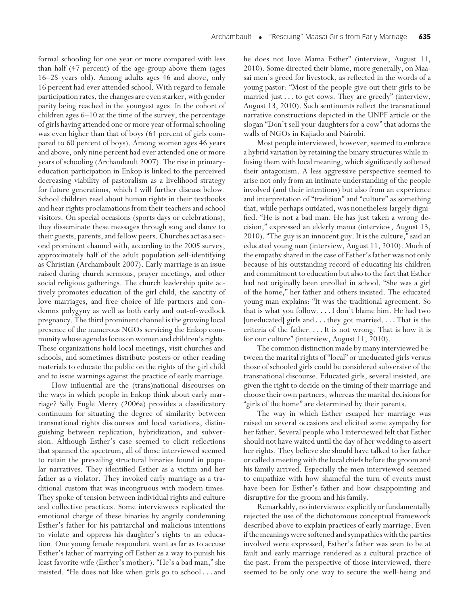formal schooling for one year or more compared with less than half (47 percent) of the age-group above them (ages 16–25 years old). Among adults ages 46 and above, only 16 percent had ever attended school. With regard to female participation rates, the changes are even starker, with gender parity being reached in the youngest ages. In the cohort of children ages 6–10 at the time of the survey, the percentage of girls having attended one or more year of formal schooling was even higher than that of boys (64 percent of girls compared to 60 percent of boys). Among women ages 46 years and above, only nine percent had ever attended one or more years of schooling (Archambault 2007). The rise in primaryeducation participation in Enkop is linked to the perceived decreasing viability of pastoralism as a livelihood strategy for future generations, which I will further discuss below. School children read about human rights in their textbooks and hear rights proclamations from their teachers and school visitors. On special occasions (sports days or celebrations), they disseminate these messages through song and dance to their guests, parents, and fellow peers. Churches act as a second prominent channel with, according to the 2005 survey, approximately half of the adult population self-identifying as Christian (Archambault 2007). Early marriage is an issue raised during church sermons, prayer meetings, and other social religious gatherings. The church leadership quite actively promotes education of the girl child, the sanctity of love marriages, and free choice of life partners and condemns polygyny as well as both early and out-of-wedlock pregnancy. The third prominent channel is the growing local presence of the numerous NGOs servicing the Enkop community whose agendas focus on women and children's rights. These organizations hold local meetings, visit churches and schools, and sometimes distribute posters or other reading materials to educate the public on the rights of the girl child and to issue warnings against the practice of early marriage.

How influential are the (trans)national discourses on the ways in which people in Enkop think about early marriage? Sally Engle Merry (2006a) provides a classificatory continuum for situating the degree of similarity between transnational rights discourses and local variations, distinguishing between replication, hybridization, and subversion. Although Esther's case seemed to elicit reflections that spanned the spectrum, all of those interviewed seemed to retain the prevailing structural binaries found in popular narratives. They identified Esther as a victim and her father as a violator. They invoked early marriage as a traditional custom that was incongruous with modern times. They spoke of tension between individual rights and culture and collective practices. Some interviewees replicated the emotional charge of these binaries by angrily condemning Esther's father for his patriarchal and malicious intentions to violate and oppress his daughter's rights to an education. One young female respondent went as far as to accuse Esther's father of marrying off Esther as a way to punish his least favorite wife (Esther's mother). "He's a bad man," she insisted. "He does not like when girls go to school ...and

he does not love Mama Esther" (interview, August 11, 2010). Some directed their blame, more generally, on Maasai men's greed for livestock, as reflected in the words of a young pastor: "Most of the people give out their girls to be married just ... to get cows. They are greedy" (interview, August 13, 2010). Such sentiments reflect the transnational narrative constructions depicted in the UNPF article or the slogan "Don't sell your daughters for a cow" that adorns the walls of NGOs in Kajiado and Nairobi.

Most people interviewed, however, seemed to embrace a hybrid variation by retaining the binary structures while infusing them with local meaning, which significantly softened their antagonism. A less aggressive perspective seemed to arise not only from an intimate understanding of the people involved (and their intentions) but also from an experience and interpretation of "tradition" and "culture" as something that, while perhaps outdated, was nonetheless largely dignified. "He is not a bad man. He has just taken a wrong decision," expressed an elderly mama (interview, August 13, 2010). "The guy is an innocent guy. It is the culture," said an educated young man (interview, August 11, 2010). Much of the empathy shared in the case of Esther's father was not only because of his outstanding record of educating his children and commitment to education but also to the fact that Esther had not originally been enrolled in school. "She was a girl of the home," her father and others insisted. The educated young man explains: "It was the traditional agreement. So that is what you follow. ... I don't blame him. He had two [uneducated] girls and ... they got married. ... That is the criteria of the father. ... It is not wrong. That is how it is for our culture" (interview, August 11, 2010).

The common distinction made by many interviewed between the marital rights of "local" or uneducated girls versus those of schooled girls could be considered subversive of the transnational discourse. Educated girls, several insisted, are given the right to decide on the timing of their marriage and choose their own partners, whereas the marital decisions for "girls of the home" are determined by their parents.

The way in which Esther escaped her marriage was raised on several occasions and elicited some sympathy for her father. Several people who I interviewed felt that Esther should not have waited until the day of her wedding to assert her rights. They believe she should have talked to her father or called a meeting with the local chiefs before the groom and his family arrived. Especially the men interviewed seemed to empathize with how shameful the turn of events must have been for Esther's father and how disappointing and disruptive for the groom and his family.

Remarkably, no interviewee explicitly or fundamentally rejected the use of the dichotomous conceptual framework described above to explain practices of early marriage. Even if the meanings were softened and sympathies with the parties involved were expressed, Esther's father was seen to be at fault and early marriage rendered as a cultural practice of the past. From the perspective of those interviewed, there seemed to be only one way to secure the well-being and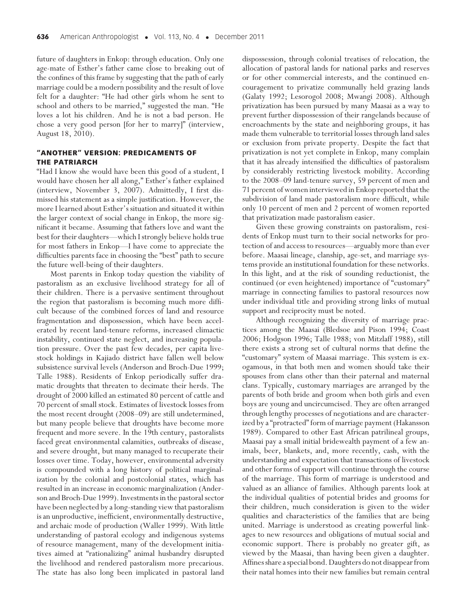future of daughters in Enkop: through education. Only one age-mate of Esther's father came close to breaking out of the confines of this frame by suggesting that the path of early marriage could be a modern possibility and the result of love felt for a daughter: "He had other girls whom he sent to school and others to be married," suggested the man. "He loves a lot his children. And he is not a bad person. He chose a very good person [for her to marry]" (interview, August 18, 2010).

## **"ANOTHER" VERSION: PREDICAMENTS OF THE PATRIARCH**

"Had I know she would have been this good of a student, I would have chosen her all along," Esther's father explained (interview, November 3, 2007). Admittedly, I first dismissed his statement as a simple justification. However, the more I learned about Esther's situation and situated it within the larger context of social change in Enkop, the more significant it became. Assuming that fathers love and want the best for their daughters—which I strongly believe holds true for most fathers in Enkop—I have come to appreciate the difficulties parents face in choosing the "best" path to secure the future well-being of their daughters.

Most parents in Enkop today question the viability of pastoralism as an exclusive livelihood strategy for all of their children. There is a pervasive sentiment throughout the region that pastoralism is becoming much more difficult because of the combined forces of land and resource fragmentation and dispossession, which have been accelerated by recent land-tenure reforms, increased climactic instability, continued state neglect, and increasing population pressure. Over the past few decades, per capita livestock holdings in Kajiado district have fallen well below subsistence survival levels (Anderson and Broch-Due 1999; Talle 1988). Residents of Enkop periodically suffer dramatic droughts that threaten to decimate their herds. The drought of 2000 killed an estimated 80 percent of cattle and 70 percent of small stock. Estimates of livestock losses from the most recent drought (2008–09) are still undetermined, but many people believe that droughts have become more frequent and more severe. In the 19th century, pastoralists faced great environmental calamities, outbreaks of disease, and severe drought, but many managed to recuperate their losses over time. Today, however, environmental adversity is compounded with a long history of political marginalization by the colonial and postcolonial states, which has resulted in an increase in economic marginalization (Anderson and Broch-Due 1999). Investments in the pastoral sector have been neglected by a long-standing view that pastoralism is an unproductive, inefficient, environmentally destructive, and archaic mode of production (Waller 1999). With little understanding of pastoral ecology and indigenous systems of resource management, many of the development initiatives aimed at "rationalizing" animal husbandry disrupted the livelihood and rendered pastoralism more precarious. The state has also long been implicated in pastoral land

dispossession, through colonial treatises of relocation, the allocation of pastoral lands for national parks and reserves or for other commercial interests, and the continued encouragement to privatize communally held grazing lands (Galaty 1992; Lesorogol 2008; Mwangi 2008). Although privatization has been pursued by many Maasai as a way to prevent further dispossession of their rangelands because of encroachments by the state and neighboring groups, it has made them vulnerable to territorial losses through land sales or exclusion from private property. Despite the fact that privatization is not yet complete in Enkop, many complain that it has already intensified the difficulties of pastoralism by considerably restricting livestock mobility. According to the 2008–09 land-tenure survey, 59 percent of men and 71 percent of women interviewed in Enkop reported that the subdivision of land made pastoralism more difficult, while only 10 percent of men and 2 percent of women reported that privatization made pastoralism easier.

Given these growing constraints on pastoralism, residents of Enkop must turn to their social networks for protection of and access to resources—arguably more than ever before. Maasai lineage, clanship, age-set, and marriage systems provide an institutional foundation for these networks. In this light, and at the risk of sounding reductionist, the continued (or even heightened) importance of "customary" marriage in connecting families to pastoral resources now under individual title and providing strong links of mutual support and reciprocity must be noted.

Although recognizing the diversity of marriage practices among the Maasai (Bledsoe and Pison 1994; Coast 2006; Hodgson 1996; Talle 1988; von Mitzlaff 1988), still there exists a strong set of cultural norms that define the "customary" system of Maasai marriage. This system is exogamous, in that both men and women should take their spouses from clans other than their paternal and maternal clans. Typically, customary marriages are arranged by the parents of both bride and groom when both girls and even boys are young and uncircumcised. They are often arranged through lengthy processes of negotiations and are characterized by a "protracted" form of marriage payment (Hakansson 1989). Compared to other East African patrilineal groups, Maasai pay a small initial bridewealth payment of a few animals, beer, blankets, and, more recently, cash, with the understanding and expectation that transactions of livestock and other forms of support will continue through the course of the marriage. This form of marriage is understood and valued as an alliance of families. Although parents look at the individual qualities of potential brides and grooms for their children, much consideration is given to the wider qualities and characteristics of the families that are being united. Marriage is understood as creating powerful linkages to new resources and obligations of mutual social and economic support. There is probably no greater gift, as viewed by the Maasai, than having been given a daughter. Affines share a special bond. Daughters do not disappear from their natal homes into their new families but remain central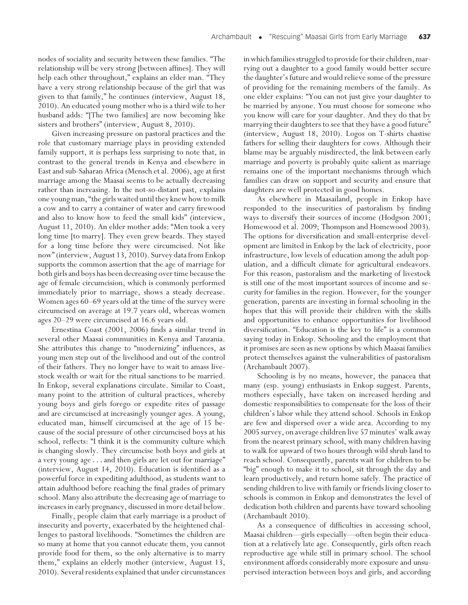nodes of sociality and security between these families. "The relationship will be very strong [between affines]. They will help each other throughout," explains an elder man. "They have a very strong relationship because of the girl that was given to that family," he continues (interview, August 18, 2010). An educated young mother who is a third wife to her husband adds: "[The two families] are now becoming like sisters and brothers" (interview, August 8, 2010).

Given increasing pressure on pastoral practices and the role that customary marriage plays in providing extended family support, it is perhaps less surprising to note that, in contrast to the general trends in Kenya and elsewhere in East and sub-Saharan Africa (Mensch et al. 2006), age at first marriage among the Maasai seems to be actually decreasing rather than increasing. In the not-so-distant past, explains one young man, "the girls waited until they knew how to milk a cow and to carry a container of water and carry firewood and also to know how to feed the small kids" (interview, August 11, 2010). An elder mother adds: "Men took a very long time [to marry]. They even grew beards. They stayed for a long time before they were circumcised. Not like now" (interview, August 13, 2010). Survey data from Enkop supports the common assertion that the age of marriage for both girls and boys has been decreasing over time because the age of female circumcision, which is commonly performed immediately prior to marriage, shows a steady decrease. Women ages 60–69 years old at the time of the survey were circumcised on average at 19.7 years old, whereas women ages 20–29 were circumcised at 16.6 years old.

Ernestina Coast (2001, 2006) finds a similar trend in several other Maasai communities in Kenya and Tanzania. She attributes this change to "modernizing" influences, as young men step out of the livelihood and out of the control of their fathers. They no longer have to wait to amass livestock wealth or wait for the ritual sanctions to be married. In Enkop, several explanations circulate. Similar to Coast, many point to the attrition of cultural practices, whereby young boys and girls forego or expedite rites of passage and are circumcised at increasingly younger ages. A young, educated man, himself circumcised at the age of 15 because of the social pressure of other circumcised boys at his school, reflects: "I think it is the community culture which is changing slowly. They circumcise both boys and girls at a very young age ...and then girls are let out for marriage" (interview, August 14, 2010). Education is identified as a powerful force in expediting adulthood, as students want to attain adulthood before reaching the final grades of primary school. Many also attribute the decreasing age of marriage to increases in early pregnancy, discussed in more detail below.

Finally, people claim that early marriage is a product of insecurity and poverty, exacerbated by the heightened challenges to pastoral livelihoods. "Sometimes the children are so many at home that you cannot educate them, you cannot provide food for them, so the only alternative is to marry them," explains an elderly mother (interview, August 13, 2010). Several residents explained that under circumstances

in which families struggled to provide for their children, marrying out a daughter to a good family would better secure the daughter's future and would relieve some of the pressure of providing for the remaining members of the family. As one elder explains: "You can not just give your daughter to be married by anyone. You must choose for someone who you know will care for your daughter. And they do that by marrying their daughters to see that they have a good future" (interview, August 18, 2010). Logos on T-shirts chastise fathers for selling their daughters for cows. Although their blame may be arguably misdirected, the link between early marriage and poverty is probably quite salient as marriage remains one of the important mechanisms through which families can draw on support and security and ensure that daughters are well protected in good homes.

As elsewhere in Maasailand, people in Enkop have responded to the insecurities of pastoralism by finding ways to diversify their sources of income (Hodgson 2001; Homewood et al. 2009; Thompson and Homewood 2003). The options for diversification and small-enterprise development are limited in Enkop by the lack of electricity, poor infrastructure, low levels of education among the adult population, and a difficult climate for agricultural endeavors. For this reason, pastoralism and the marketing of livestock is still one of the most important sources of income and security for families in the region. However, for the younger generation, parents are investing in formal schooling in the hopes that this will provide their children with the skills and opportunities to enhance opportunities for livelihood diversification. "Education is the key to life" is a common saying today in Enkop. Schooling and the employment that it promises are seen as new options by which Maasai families protect themselves against the vulnerabilities of pastoralism (Archambault 2007).

Schooling is by no means, however, the panacea that many (esp. young) enthusiasts in Enkop suggest. Parents, mothers especially, have taken on increased herding and domestic responsibilities to compensate for the loss of their children's labor while they attend school. Schools in Enkop are few and dispersed over a wide area. According to my 2005 survey, on average children live 57 minutes' walk away from the nearest primary school, with many children having to walk for upward of two hours through wild shrub land to reach school. Consequently, parents wait for children to be "big" enough to make it to school, sit through the day and learn productively, and return home safely. The practice of sending children to live with family or friends living closer to schools is common in Enkop and demonstrates the level of dedication both children and parents have toward schooling (Archambault 2010).

As a consequence of difficulties in accessing school, Maasai children—girls especially—often begin their education at a relatively late age. Consequently, girls often reach reproductive age while still in primary school. The school environment affords considerably more exposure and unsupervised interaction between boys and girls, and according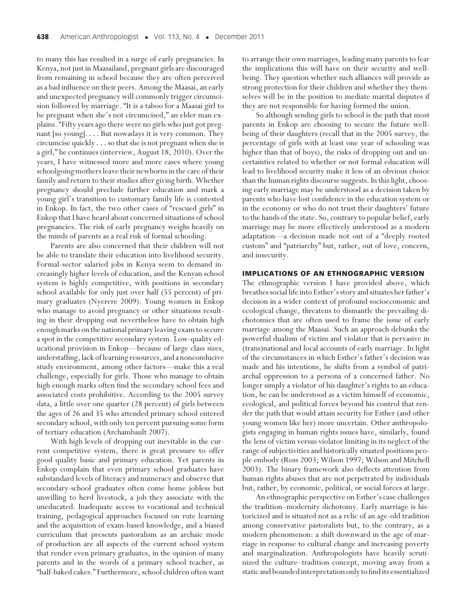to many this has resulted in a surge of early pregnancies. In Kenya, not just in Maasailand, pregnant girls are discouraged from remaining in school because they are often perceived as a bad influence on their peers. Among the Maasai, an early and unexpected pregnancy will commonly trigger circumcision followed by marriage. "It is a taboo for a Maasai girl to be pregnant when she's not circumcised," an elder man explains. "Fifty years ago there were no girls who just got pregnant [so young]. ... But nowadays it is very common. They circumcise quickly ... so that she is not pregnant when she is a girl," he continues (interview, August 18, 2010). Over the years, I have witnessed more and more cases where young schoolgoing mothers leave their newborns in the care of their family and return to their studies after giving birth. Whether pregnancy should preclude further education and mark a young girl's transition to customary family life is contested in Enkop. In fact, the two other cases of "rescued girls" in Enkop that I have heard about concerned situations of school pregnancies. The risk of early pregnancy weighs heavily on the minds of parents as a real risk of formal schooling.

Parents are also concerned that their children will not be able to translate their education into livelihood security. Formal-sector salaried jobs in Kenya seem to demand increasingly higher levels of education, and the Kenyan school system is highly competitive, with positions in secondary school available for only just over half (55 percent) of primary graduates (Nyerere 2009). Young women in Enkop who manage to avoid pregnancy or other situations resulting in their dropping out nevertheless have to obtain high enough marks on the national primary leaving exam to secure a spot in the competitive secondary system. Low-quality educational provision in Enkop—because of large class sizes, understaffing, lack of learning resources, and a nonconducive study environment, among other factors—make this a real challenge, especially for girls. Those who manage to obtain high enough marks often find the secondary school fees and associated costs prohibitive. According to the 2005 survey data, a little over one quarter (28 percent) of girls between the ages of 26 and 35 who attended primary school entered secondary school, with only ten percent pursuing some form of tertiary education (Archambault 2007).

With high levels of dropping out inevitable in the current competitive system, there is great pressure to offer good quality basic and primary education. Yet parents in Enkop complain that even primary school graduates have substandard levels of literacy and numeracy and observe that secondary-school graduates often come home jobless but unwilling to herd livestock, a job they associate with the uneducated. Inadequate access to vocational and technical training, pedagogical approaches focused on rote learning and the acquisition of exam-based knowledge, and a biased curriculum that presents pastoralism as an archaic mode of production are all aspects of the current school system that render even primary graduates, in the opinion of many parents and in the words of a primary school teacher, as "half-baked cakes." Furthermore, school children often want

to arrange their own marriages, leading many parents to fear the implications this will have on their security and wellbeing. They question whether such alliances will provide as strong protection for their children and whether they themselves will be in the position to mediate marital disputes if they are not responsible for having formed the union.

So although sending girls to school is the path that most parents in Enkop are choosing to secure the future wellbeing of their daughters (recall that in the 2005 survey, the percentage of girls with at least one year of schooling was higher than that of boys), the risks of dropping out and uncertainties related to whether or not formal education will lead to livelihood security make it less of an obvious choice than the human rights discourse suggests. In this light, choosing early marriage may be understood as a decision taken by parents who have lost confidence in the education system or in the economy or who do not trust their daughters' future to the hands of the state. So, contrary to popular belief, early marriage may be more effectively understood as a modern adaptation—a decision made not out of a "deeply rooted custom" and "patriarchy" but, rather, out of love, concern, and insecurity.

#### **IMPLICATIONS OF AN ETHNOGRAPHIC VERSION**

The ethnographic version I have provided above, which breathes social life into Esther's story and situates her father's decision in a wider context of profound socioeconomic and ecological change, threatens to dismantle the prevailing dichotomies that are often used to frame the issue of early marriage among the Maasai. Such an approach debunks the powerful dualism of victim and violator that is pervasive in (trans)national and local accounts of early marriage. In light of the circumstances in which Esther's father's decision was made and his intentions, he shifts from a symbol of patriarchal oppression to a persona of a concerned father. No longer simply a violator of his daughter's rights to an education, he can be understood as a victim himself of economic, ecological, and political forces beyond his control that render the path that would attain security for Esther (and other young women like her) more uncertain. Other anthropologists engaging in human rights issues have, similarly, found the lens of victim versus violator limiting in its neglect of the range of subjectivities and historically situated positions people embody (Ross 2003; Wilson 1997; Wilson and Mitchell 2003). The binary framework also deflects attention from human rights abuses that are not perpetrated by individuals but, rather, by economic, political, or social forces at large.

An ethnographic perspective on Esther's case challenges the tradition–modernity dichotomy. Early marriage is historicized and is situated not as a relic of an age-old tradition among conservative pastoralists but, to the contrary, as a modern phenomenon: a shift downward in the age of marriage in response to cultural change and increasing poverty and marginalization. Anthropologists have heavily scrutinized the culture–tradition concept, moving away from a static and bounded interpretation onlyto find its essentialized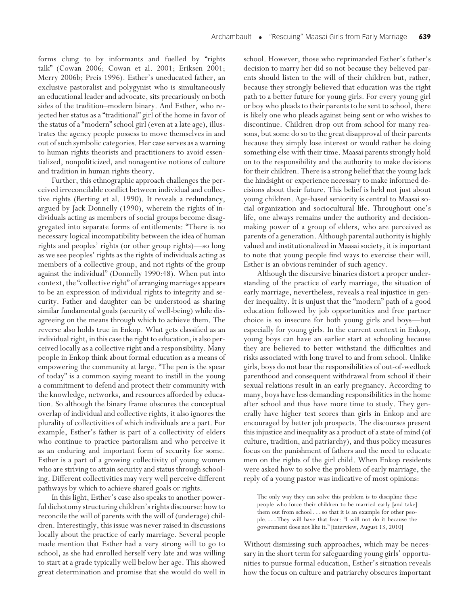forms clung to by informants and fuelled by "rights talk" (Cowan 2006; Cowan et al. 2001; Eriksen 2001; Merry 2006b; Preis 1996). Esther's uneducated father, an exclusive pastoralist and polygynist who is simultaneously an educational leader and advocate, sits precariously on both sides of the tradition–modern binary. And Esther, who rejected her status as a "traditional" girl of the home in favor of the status of a "modern" school girl (even at a late age), illustrates the agency people possess to move themselves in and out of such symbolic categories. Her case serves as a warning to human rights theorists and practitioners to avoid essentialized, nonpoliticized, and nonagentive notions of culture and tradition in human rights theory.

Further, this ethnographic approach challenges the perceived irreconcilable conflict between individual and collective rights (Berting et al. 1990). It reveals a redundancy, argued by Jack Donnelly (1990), wherein the rights of individuals acting as members of social groups become disaggregated into separate forms of entitlements: "There is no necessary logical incompatibility between the idea of human rights and peoples' rights (or other group rights)—so long as we see peoples' rights as the rights of individuals acting as members of a collective group, and not rights of the group against the individual" (Donnelly 1990:48). When put into context, the "collective right" of arranging marriages appears to be an expression of individual rights to integrity and security. Father and daughter can be understood as sharing similar fundamental goals (security of well-being) while disagreeing on the means through which to achieve them. The reverse also holds true in Enkop. What gets classified as an individual right, in this case the right to education, is also perceived locally as a collective right and a responsibility. Many people in Enkop think about formal education as a means of empowering the community at large. "The pen is the spear of today" is a common saying meant to instill in the young a commitment to defend and protect their community with the knowledge, networks, and resources afforded by education. So although the binary frame obscures the conceptual overlap of individual and collective rights, it also ignores the plurality of collectivities of which individuals are a part. For example, Esther's father is part of a collectivity of elders who continue to practice pastoralism and who perceive it as an enduring and important form of security for some. Esther is a part of a growing collectivity of young women who are striving to attain security and status through schooling. Different collectivities may very well perceive different pathways by which to achieve shared goals or rights.

In this light, Esther's case also speaks to another powerful dichotomy structuring children's rights discourse: howto reconcile the will of parents with the will of (underage) children. Interestingly, this issue was never raised in discussions locally about the practice of early marriage. Several people made mention that Esther had a very strong will to go to school, as she had enrolled herself very late and was willing to start at a grade typically well below her age. This showed great determination and promise that she would do well in

school. However, those who reprimanded Esther's father's decision to marry her did so not because they believed parents should listen to the will of their children but, rather, because they strongly believed that education was the right path to a better future for young girls. For every young girl or boy who pleads to their parents to be sent to school, there is likely one who pleads against being sent or who wishes to discontinue. Children drop out from school for many reasons, but some do so to the great disapproval of their parents because they simply lose interest or would rather be doing something else with their time. Maasai parents strongly hold on to the responsibility and the authority to make decisions for their children. There is a strong belief that the young lack the hindsight or experience necessary to make informed decisions about their future. This belief is held not just about young children. Age-based seniority is central to Maasai social organization and sociocultural life. Throughout one's life, one always remains under the authority and decisionmaking power of a group of elders, who are perceived as parents of a generation. Although parental authority is highly valued and institutionalized in Maasai society, it is important to note that young people find ways to exercise their will. Esther is an obvious reminder of such agency.

Although the discursive binaries distort a proper understanding of the practice of early marriage, the situation of early marriage, nevertheless, reveals a real injustice in gender inequality. It is unjust that the "modern" path of a good education followed by job opportunities and free partner choice is so insecure for both young girls and boys—but especially for young girls. In the current context in Enkop, young boys can have an earlier start at schooling because they are believed to better withstand the difficulties and risks associated with long travel to and from school. Unlike girls, boys do not bear the responsibilities of out-of-wedlock parenthood and consequent withdrawal from school if their sexual relations result in an early pregnancy. According to many, boys have less demanding responsibilities in the home after school and thus have more time to study. They generally have higher test scores than girls in Enkop and are encouraged by better job prospects. The discourses present this injustice and inequality as a product of a state of mind (of culture, tradition, and patriarchy), and thus policy measures focus on the punishment of fathers and the need to educate men on the rights of the girl child. When Enkop residents were asked how to solve the problem of early marriage, the reply of a young pastor was indicative of most opinions:

The only way they can solve this problem is to discipline these people who force their children to be married early [and take] them out from school ... so that it is an example for other people. ... They will have that fear: "I will not do it because the government does not like it." [interview, August 13, 2010]

Without dismissing such approaches, which may be necessary in the short term for safeguarding young girls' opportunities to pursue formal education, Esther's situation reveals how the focus on culture and patriarchy obscures important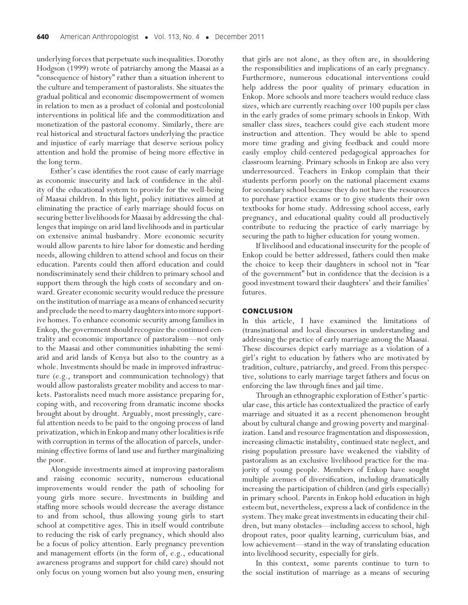underlying forces that perpetuate such inequalities. Dorothy Hodgson (1999) wrote of patriarchy among the Maasai as a "consequence of history" rather than a situation inherent to the culture and temperament of pastoralists. She situates the gradual political and economic disempowerment of women in relation to men as a product of colonial and postcolonial interventions in political life and the commoditization and monetization of the pastoral economy. Similarly, there are real historical and structural factors underlying the practice and injustice of early marriage that deserve serious policy attention and hold the promise of being more effective in the long term.

Esther's case identifies the root cause of early marriage as economic insecurity and lack of confidence in the ability of the educational system to provide for the well-being of Maasai children. In this light, policy initiatives aimed at eliminating the practice of early marriage should focus on securing better livelihoods for Maasai by addressing the challenges that impinge on arid land livelihoods and in particular on extensive animal husbandry. More economic security would allow parents to hire labor for domestic and herding needs, allowing children to attend school and focus on their education. Parents could then afford education and could nondiscriminately send their children to primary school and support them through the high costs of secondary and onward. Greater economic security would reduce the pressure on the institution of marriage as a means of enhanced security and preclude the need to marry daughters into more supportive homes. To enhance economic security among families in Enkop, the government should recognize the continued centrality and economic importance of pastoralism—not only to the Maasai and other communities inhabiting the semiarid and arid lands of Kenya but also to the country as a whole. Investments should be made in improved infrastructure (e.g., transport and communication technology) that would allow pastoralists greater mobility and access to markets. Pastoralists need much more assistance preparing for, coping with, and recovering from dramatic income shocks brought about by drought. Arguably, most pressingly, careful attention needs to be paid to the ongoing process of land privatization, which in Enkop and many other localities is rife with corruption in terms of the allocation of parcels, undermining effective forms of land use and further marginalizing the poor.

Alongside investments aimed at improving pastoralism and raising economic security, numerous educational improvements would render the path of schooling for young girls more secure. Investments in building and staffing more schools would decrease the average distance to and from school, thus allowing young girls to start school at competitive ages. This in itself would contribute to reducing the risk of early pregnancy, which should also be a focus of policy attention. Early pregnancy prevention and management efforts (in the form of, e.g., educational awareness programs and support for child care) should not only focus on young women but also young men, ensuring

that girls are not alone, as they often are, in shouldering the responsibilities and implications of an early pregnancy. Furthermore, numerous educational interventions could help address the poor quality of primary education in Enkop. More schools and more teachers would reduce class sizes, which are currently reaching over 100 pupils per class in the early grades of some primary schools in Enkop. With smaller class sizes, teachers could give each student more instruction and attention. They would be able to spend more time grading and giving feedback and could more easily employ child-centered pedagogical approaches for classroom learning. Primary schools in Enkop are also very underresourced. Teachers in Enkop complain that their students perform poorly on the national placement exams for secondary school because they do not have the resources to purchase practice exams or to give students their own textbooks for home study. Addressing school access, early pregnancy, and educational quality could all productively contribute to reducing the practice of early marriage by securing the path to higher education for young women.

If livelihood and educational insecurity for the people of Enkop could be better addressed, fathers could then make the choice to keep their daughters in school not in "fear of the government" but in confidence that the decision is a good investment toward their daughters' and their families' futures.

#### **CONCLUSION**

In this article, I have examined the limitations of (trans)national and local discourses in understanding and addressing the practice of early marriage among the Maasai. These discourses depict early marriage as a violation of a girl's right to education by fathers who are motivated by tradition, culture, patriarchy, and greed. From this perspective, solutions to early marriage target fathers and focus on enforcing the law through fines and jail time.

Through an ethnographic exploration of Esther's particular case, this article has contextualized the practice of early marriage and situated it as a recent phenomenon brought about by cultural change and growing poverty and marginalization. Land and resource fragmentation and dispossession, increasing climactic instability, continued state neglect, and rising population pressure have weakened the viability of pastoralism as an exclusive livelihood practice for the majority of young people. Members of Enkop have sought multiple avenues of diversification, including dramatically increasing the participation of children (and girls especially) in primary school. Parents in Enkop hold education in high esteem but, nevertheless, express a lack of confidence in the system. They make great investments in educating their children, but many obstacles—including access to school, high dropout rates, poor quality learning, curriculum bias, and low achievement—stand in the way of translating education into livelihood security, especially for girls.

In this context, some parents continue to turn to the social institution of marriage as a means of securing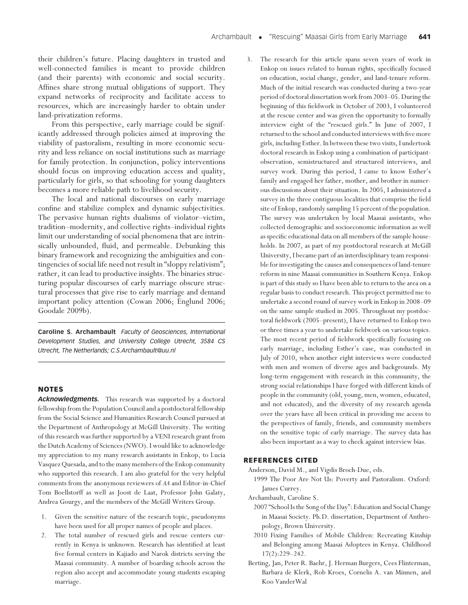their children's future. Placing daughters in trusted and well-connected families is meant to provide children (and their parents) with economic and social security. Affines share strong mutual obligations of support. They expand networks of reciprocity and facilitate access to resources, which are increasingly harder to obtain under land-privatization reforms.

From this perspective, early marriage could be significantly addressed through policies aimed at improving the viability of pastoralism, resulting in more economic security and less reliance on social institutions such as marriage for family protection. In conjunction, policy interventions should focus on improving education access and quality, particularly for girls, so that schooling for young daughters becomes a more reliable path to livelihood security.

The local and national discourses on early marriage confine and stabilize complex and dynamic subjectivities. The pervasive human rights dualisms of violator–victim, tradition–modernity, and collective rights–individual rights limit our understanding of social phenomena that are intrinsically unbounded, fluid, and permeable. Debunking this binary framework and recognizing the ambiguities and contingencies of social life need not result in "sloppy relativism"; rather, it can lead to productive insights. The binaries structuring popular discourses of early marriage obscure structural processes that give rise to early marriage and demand important policy attention (Cowan 2006; Englund 2006; Goodale 2009b).

**Caroline S. Archambault** *Faculty of Geosciences, International Development Studies, and University College Utrecht, 3584 CS Utrecht, The Netherlands; C.S.Archambault@uu.nl*

#### **NOTES**

*Acknowledgments.* This research was supported by a doctoral fellowship from the Population Council and a postdoctoral fellowship from the Social Science and Humanities Research Council pursued at the Department of Anthropology at McGill University. The writing of this research was further supported by a VENI research grant from the Dutch Academy of Sciences (NWO). I would like to acknowledge my appreciation to my many research assistants in Enkop, to Lucia Vasquez Quesada, and to the many members of the Enkop community who supported this research. I am also grateful for the very helpful comments from the anonymous reviewers of *AA* and Editor-in-Chief Tom Boellstorff as well as Joost de Laat, Professor John Galaty, Andrea Gourgy, and the members of the McGill Writers Group.

- 1. Given the sensitive nature of the research topic, pseudonyms have been used for all proper names of people and places.
- 2. The total number of rescued girls and rescue centers currently in Kenya is unknown. Research has identified at least five formal centers in Kajiado and Narok districts serving the Maasai community. A number of boarding schools across the region also accept and accommodate young students escaping marriage.

3. The research for this article spans seven years of work in Enkop on issues related to human rights, specifically focused on education, social change, gender, and land-tenure reform. Much of the initial research was conducted during a two-year period of doctoral dissertation work from 2003–05. During the beginning of this fieldwork in October of 2003, I volunteered at the rescue center and was given the opportunity to formally interview eight of the "rescued girls." In June of 2007, I returned to the school and conducted interviews with five more girls, including Esther. In between these two visits, I undertook doctoral research in Enkop using a combination of participantobservation, semistructured and structured interviews, and survey work. During this period, I came to know Esther's family and engaged her father, mother, and brother in numerous discussions about their situation. In 2005, I administered a survey in the three contiguous localities that comprise the field site of Enkop, randomly sampling 15 percent of the population. The survey was undertaken by local Maasai assistants, who collected demographic and socioeconomic information as well as specific educational data on all members of the sample households. In 2007, as part of my postdoctoral research at McGill University, I became part of an interdisciplinary team responsible for investigating the causes and consequences of land-tenure reform in nine Maasai communities in Southern Kenya. Enkop is part of this study so I have been able to return to the area on a regular basis to conduct research. This project permitted me to undertake a second round of survey work in Enkop in 2008–09 on the same sample studied in 2005. Throughout my postdoctoral fieldwork (2005–present), I have returned to Enkop two or three times a year to undertake fieldwork on various topics. The most recent period of fieldwork specifically focusing on early marriage, including Esther's case, was conducted in July of 2010, when another eight interviews were conducted with men and women of diverse ages and backgrounds. My long-term engagement with research in this community, the strong social relationships I have forged with different kinds of people in the community (old, young, men, women, educated, and not educated), and the diversity of my research agenda over the years have all been critical in providing me access to the perspectives of family, friends, and community members on the sensitive topic of early marriage. The survey data has also been important as a way to check against interview bias.

#### **REFERENCES CITED**

- Anderson, David M., and Vigdis Broch-Due, eds.
- 1999 The Poor Are Not Us: Poverty and Pastoralism. Oxford: James Currey.
- Archambault, Caroline S.
	- 2007 "School Is the Song of the Day": Education and Social Change in Maasai Society. Ph.D. dissertation, Department of Anthropology, Brown University.
	- 2010 Fixing Families of Mobile Children: Recreating Kinship and Belonging among Maasai Adoptees in Kenya. Childhood 17(2):229–242.
- Berting, Jan, Peter R. Baehr, J. Herman Burgers, Cees Flinterman, Barbara de Klerk, Rob Kroes, Cornelis A. van Minnen, and Koo VanderWal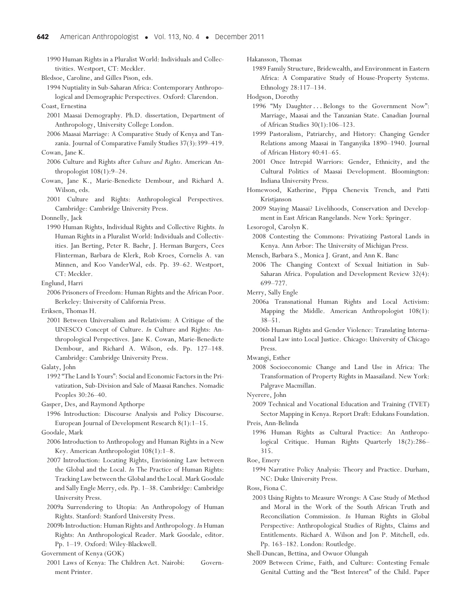1990 Human Rights in a Pluralist World: Individuals and Collectivities. Westport, CT: Meckler.

Bledsoe, Caroline, and Gilles Pison, eds.

1994 Nuptiality in Sub-Saharan Africa: Contemporary Anthropological and Demographic Perspectives. Oxford: Clarendon.

Coast, Ernestina

2001 Maasai Demography. Ph.D. dissertation, Department of Anthropology, University College London.

2006 Maasai Marriage: A Comparative Study of Kenya and Tanzania. Journal of Comparative Family Studies 37(3):399–419. Cowan, Jane K.

2006 Culture and Rights after *Culture and Rights*. American Anthropologist 108(1):9–24.

Cowan, Jane K., Marie-Benedicte Dembour, and Richard A. Wilson, eds.

2001 Culture and Rights: Anthropological Perspectives. Cambridge: Cambridge University Press.

Donnelly, Jack

1990 Human Rights, Individual Rights and Collective Rights. *In* Human Rights in a Pluralist World: Individuals and Collectivities. Jan Berting, Peter R. Baehr, J. Herman Burgers, Cees Flinterman, Barbara de Klerk, Rob Kroes, Cornelis A. van Minnen, and Koo VanderWal, eds. Pp. 39–62. Westport, CT: Meckler.

Englund, Harri

2006 Prisoners of Freedom: Human Rights and the African Poor. Berkeley: University of California Press.

Eriksen, Thomas H.

2001 Between Universalism and Relativism: A Critique of the UNESCO Concept of Culture. *In* Culture and Rights: Anthropological Perspectives. Jane K. Cowan, Marie-Benedicte Dembour, and Richard A. Wilson, eds. Pp. 127–148. Cambridge: Cambridge University Press.

1992 "The Land Is Yours": Social and Economic Factors in the Privatization, Sub-Division and Sale of Maasai Ranches. Nomadic Peoples 30:26–40.

Gasper, Des, and Raymond Apthorpe

1996 Introduction: Discourse Analysis and Policy Discourse. European Journal of Development Research 8(1):1–15.

Goodale, Mark

2006 Introduction to Anthropology and Human Rights in a New Key. American Anthropologist 108(1):1–8.

2007 Introduction: Locating Rights, Envisioning Law between the Global and the Local. *In* The Practice of Human Rights: Tracking Law between the Global and the Local. Mark Goodale and Sally Engle Merry, eds. Pp. 1–38. Cambridge: Cambridge University Press.

2009a Surrendering to Utopia: An Anthropology of Human Rights. Stanford: Stanford University Press.

2009b Introduction: Human Rights and Anthropology. *In* Human Rights: An Anthropological Reader. Mark Goodale, editor. Pp. 1–19. Oxford: Wiley-Blackwell.

Government of Kenya (GOK)

2001 Laws of Kenya: The Children Act. Nairobi: Government Printer.

Hakansson, Thomas

1989 Family Structure, Bridewealth, and Environment in Eastern Africa: A Comparative Study of House-Property Systems. Ethnology 28:117–134.

Hodgson, Dorothy

1996 "My Daughter... Belongs to the Government Now": Marriage, Maasai and the Tanzanian State. Canadian Journal of African Studies 30(1):106–123.

1999 Pastoralism, Patriarchy, and History: Changing Gender Relations among Maasai in Tanganyika 1890–1940. Journal of African History 40:41–65.

2001 Once Intrepid Warriors: Gender, Ethnicity, and the Cultural Politics of Maasai Development. Bloomington: Indiana University Press.

Homewood, Katherine, Pippa Chenevix Trench, and Patti Kristjanson

2009 Staying Maasai? Livelihoods, Conservation and Development in East African Rangelands. New York: Springer.

Lesorogol, Carolyn K.

2008 Contesting the Commons: Privatizing Pastoral Lands in Kenya. Ann Arbor: The University of Michigan Press.

Mensch, Barbara S., Monica J. Grant, and Ann K. Banc

2006 The Changing Context of Sexual Initiation in Sub-Saharan Africa. Population and Development Review 32(4): 699–727.

Merry, Sally Engle

- 2006a Transnational Human Rights and Local Activism: Mapping the Middle. American Anthropologist 108(1): 38–51.
- 2006b Human Rights and Gender Violence: Translating International Law into Local Justice. Chicago: University of Chicago Press.
- Mwangi, Esther

2008 Socioeconomic Change and Land Use in Africa: The Transformation of Property Rights in Maasailand. New York: Palgrave Macmillan.

Nyerere, John

2009 Technical and Vocational Education and Training (TVET) Sector Mapping in Kenya. Report Draft: Edukans Foundation. Preis, Ann-Belinda

1996 Human Rights as Cultural Practice: An Anthropological Critique. Human Rights Quarterly 18(2):286– 315.

Roe, Emery

1994 Narrative Policy Analysis: Theory and Practice. Durham, NC: Duke University Press.

Ross, Fiona C.

2003 Using Rights to Measure Wrongs: A Case Study of Method and Moral in the Work of the South African Truth and Reconciliation Commission. *In* Human Rights in Global Perspective: Anthropological Studies of Rights, Claims and Entitlements. Richard A. Wilson and Jon P. Mitchell, eds. Pp. 163–182. London: Routledge.

Shell-Duncan, Bettina, and Owuor Olungah

2009 Between Crime, Faith, and Culture: Contesting Female Genital Cutting and the "Best Interest" of the Child. Paper

Galaty, John